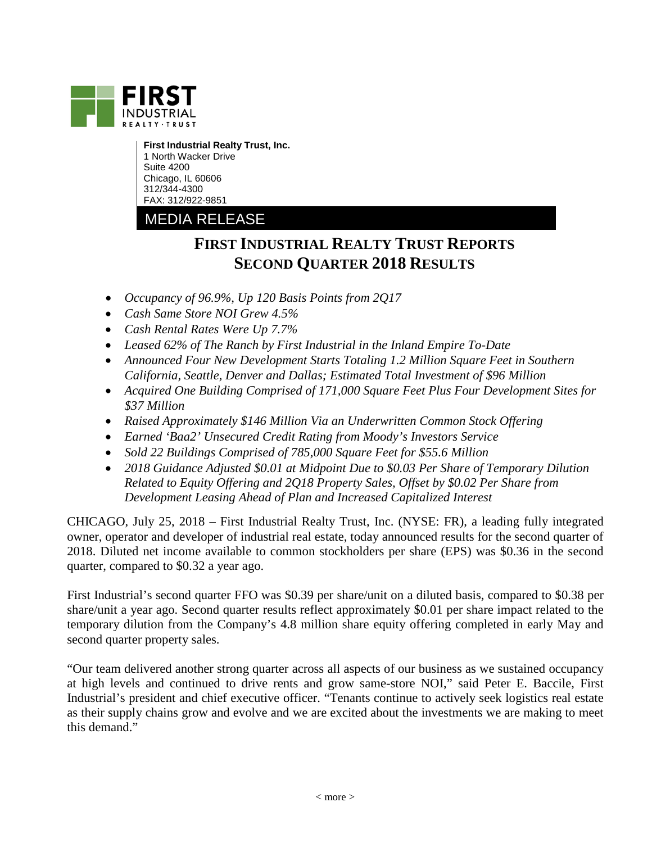

**First Industrial Realty Trust, Inc.** 1 North Wacker Drive Suite 4200 Chicago, IL 60606 312/344-4300 FAX: 312/922-9851

# MEDIA RELEASE

# **FIRST INDUSTRIAL REALTY TRUST REPORTS SECOND QUARTER 2018 RESULTS**

- *Occupancy of 96.9%, Up 120 Basis Points from 2Q17*
- *Cash Same Store NOI Grew 4.5%*
- *Cash Rental Rates Were Up 7.7%*
- *Leased 62% of The Ranch by First Industrial in the Inland Empire To-Date*
- *Announced Four New Development Starts Totaling 1.2 Million Square Feet in Southern California, Seattle, Denver and Dallas; Estimated Total Investment of \$96 Million*
- *Acquired One Building Comprised of 171,000 Square Feet Plus Four Development Sites for \$37 Million*
- *Raised Approximately \$146 Million Via an Underwritten Common Stock Offering*
- *Earned 'Baa2' Unsecured Credit Rating from Moody's Investors Service*
- *Sold 22 Buildings Comprised of 785,000 Square Feet for \$55.6 Million*
- *2018 Guidance Adjusted \$0.01 at Midpoint Due to \$0.03 Per Share of Temporary Dilution Related to Equity Offering and 2Q18 Property Sales, Offset by \$0.02 Per Share from Development Leasing Ahead of Plan and Increased Capitalized Interest*

CHICAGO, July 25, 2018 – First Industrial Realty Trust, Inc. (NYSE: FR), a leading fully integrated owner, operator and developer of industrial real estate, today announced results for the second quarter of 2018. Diluted net income available to common stockholders per share (EPS) was \$0.36 in the second quarter, compared to \$0.32 a year ago.

First Industrial's second quarter FFO was \$0.39 per share/unit on a diluted basis, compared to \$0.38 per share/unit a year ago. Second quarter results reflect approximately \$0.01 per share impact related to the temporary dilution from the Company's 4.8 million share equity offering completed in early May and second quarter property sales.

"Our team delivered another strong quarter across all aspects of our business as we sustained occupancy at high levels and continued to drive rents and grow same-store NOI," said Peter E. Baccile, First Industrial's president and chief executive officer. "Tenants continue to actively seek logistics real estate as their supply chains grow and evolve and we are excited about the investments we are making to meet this demand."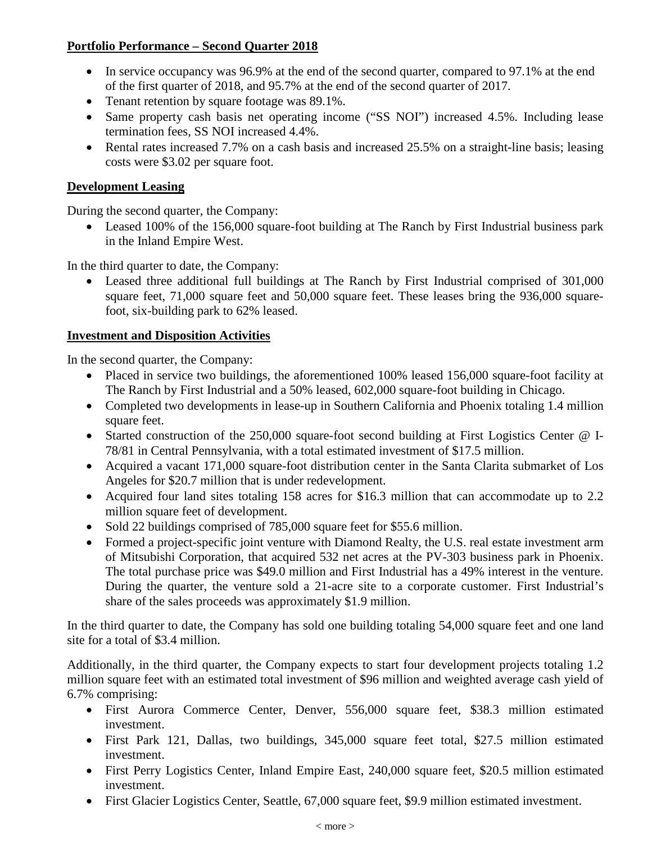## **Portfolio Performance – Second Quarter 2018**

- In service occupancy was 96.9% at the end of the second quarter, compared to 97.1% at the end of the first quarter of 2018, and 95.7% at the end of the second quarter of 2017.
- Tenant retention by square footage was 89.1%.
- Same property cash basis net operating income ("SS NOI") increased 4.5%. Including lease termination fees, SS NOI increased 4.4%.
- Rental rates increased 7.7% on a cash basis and increased 25.5% on a straight-line basis; leasing costs were \$3.02 per square foot.

### **Development Leasing**

During the second quarter, the Company:

• Leased 100% of the 156,000 square-foot building at The Ranch by First Industrial business park in the Inland Empire West.

In the third quarter to date, the Company:

• Leased three additional full buildings at The Ranch by First Industrial comprised of 301,000 square feet, 71,000 square feet and 50,000 square feet. These leases bring the 936,000 squarefoot, six-building park to 62% leased.

## **Investment and Disposition Activities**

In the second quarter, the Company:

- Placed in service two buildings, the aforementioned 100% leased 156,000 square-foot facility at The Ranch by First Industrial and a 50% leased, 602,000 square-foot building in Chicago.
- Completed two developments in lease-up in Southern California and Phoenix totaling 1.4 million square feet.
- Started construction of the 250,000 square-foot second building at First Logistics Center @ I-78/81 in Central Pennsylvania, with a total estimated investment of \$17.5 million.
- Acquired a vacant 171,000 square-foot distribution center in the Santa Clarita submarket of Los Angeles for \$20.7 million that is under redevelopment.
- Acquired four land sites totaling 158 acres for \$16.3 million that can accommodate up to 2.2 million square feet of development.
- Sold 22 buildings comprised of 785,000 square feet for \$55.6 million.
- Formed a project-specific joint venture with Diamond Realty, the U.S. real estate investment arm of Mitsubishi Corporation, that acquired 532 net acres at the PV-303 business park in Phoenix. The total purchase price was \$49.0 million and First Industrial has a 49% interest in the venture. During the quarter, the venture sold a 21-acre site to a corporate customer. First Industrial's share of the sales proceeds was approximately \$1.9 million.

In the third quarter to date, the Company has sold one building totaling 54,000 square feet and one land site for a total of \$3.4 million.

Additionally, in the third quarter, the Company expects to start four development projects totaling 1.2 million square feet with an estimated total investment of \$96 million and weighted average cash yield of 6.7% comprising:

- First Aurora Commerce Center, Denver, 556,000 square feet, \$38.3 million estimated investment.
- First Park 121, Dallas, two buildings, 345,000 square feet total, \$27.5 million estimated investment.
- First Perry Logistics Center, Inland Empire East, 240,000 square feet, \$20.5 million estimated investment.
- First Glacier Logistics Center, Seattle, 67,000 square feet, \$9.9 million estimated investment.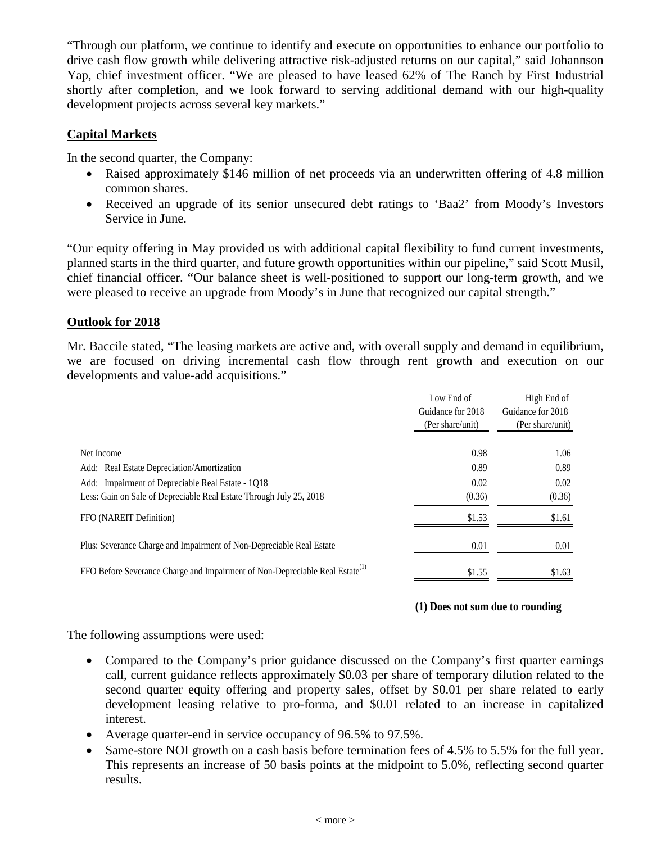"Through our platform, we continue to identify and execute on opportunities to enhance our portfolio to drive cash flow growth while delivering attractive risk-adjusted returns on our capital," said Johannson Yap, chief investment officer. "We are pleased to have leased 62% of The Ranch by First Industrial shortly after completion, and we look forward to serving additional demand with our high-quality development projects across several key markets."

### **Capital Markets**

In the second quarter, the Company:

- Raised approximately \$146 million of net proceeds via an underwritten offering of 4.8 million common shares.
- Received an upgrade of its senior unsecured debt ratings to 'Baa2' from Moody's Investors Service in June.

"Our equity offering in May provided us with additional capital flexibility to fund current investments, planned starts in the third quarter, and future growth opportunities within our pipeline," said Scott Musil, chief financial officer. "Our balance sheet is well-positioned to support our long-term growth, and we were pleased to receive an upgrade from Moody's in June that recognized our capital strength."

### **Outlook for 2018**

Mr. Baccile stated, "The leasing markets are active and, with overall supply and demand in equilibrium, we are focused on driving incremental cash flow through rent growth and execution on our developments and value-add acquisitions."

|                                                                                          | Low End of        | High End of       |  |  |
|------------------------------------------------------------------------------------------|-------------------|-------------------|--|--|
|                                                                                          | Guidance for 2018 | Guidance for 2018 |  |  |
|                                                                                          | (Per share/unit)  | (Per share/unit)  |  |  |
|                                                                                          |                   |                   |  |  |
| Net Income                                                                               | 0.98              | 1.06              |  |  |
| Add: Real Estate Depreciation/Amortization                                               | 0.89              | 0.89              |  |  |
| Add: Impairment of Depreciable Real Estate - 1Q18                                        | 0.02              | 0.02              |  |  |
| Less: Gain on Sale of Depreciable Real Estate Through July 25, 2018                      | (0.36)            | (0.36)            |  |  |
| FFO (NAREIT Definition)                                                                  | \$1.53            | \$1.61            |  |  |
| Plus: Severance Charge and Impairment of Non-Depreciable Real Estate                     | 0.01              | 0.01              |  |  |
| FFO Before Severance Charge and Impairment of Non-Depreciable Real Estate <sup>(1)</sup> | \$1.55            | \$1.63            |  |  |

#### **(1) Does not sum due to rounding**

The following assumptions were used:

- Compared to the Company's prior guidance discussed on the Company's first quarter earnings call, current guidance reflects approximately \$0.03 per share of temporary dilution related to the second quarter equity offering and property sales, offset by \$0.01 per share related to early development leasing relative to pro-forma, and \$0.01 related to an increase in capitalized interest.
- Average quarter-end in service occupancy of 96.5% to 97.5%.
- Same-store NOI growth on a cash basis before termination fees of 4.5% to 5.5% for the full year. This represents an increase of 50 basis points at the midpoint to 5.0%, reflecting second quarter results.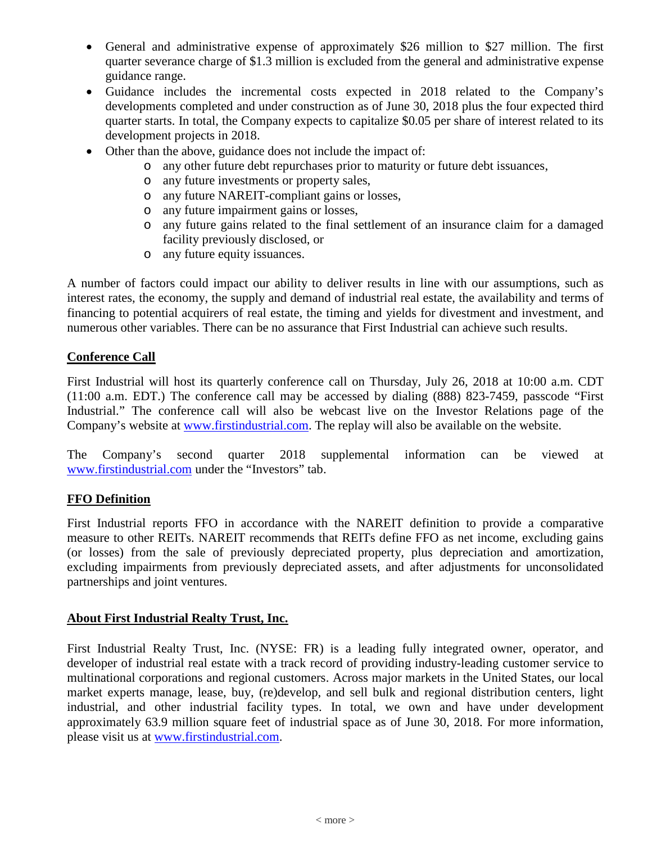- General and administrative expense of approximately \$26 million to \$27 million. The first quarter severance charge of \$1.3 million is excluded from the general and administrative expense guidance range.
- Guidance includes the incremental costs expected in 2018 related to the Company's developments completed and under construction as of June 30, 2018 plus the four expected third quarter starts. In total, the Company expects to capitalize \$0.05 per share of interest related to its development projects in 2018.
- Other than the above, guidance does not include the impact of:
	- o any other future debt repurchases prior to maturity or future debt issuances,
	- o any future investments or property sales,
	- o any future NAREIT-compliant gains or losses,
	- o any future impairment gains or losses,
	- o any future gains related to the final settlement of an insurance claim for a damaged facility previously disclosed, or
	- o any future equity issuances.

A number of factors could impact our ability to deliver results in line with our assumptions, such as interest rates, the economy, the supply and demand of industrial real estate, the availability and terms of financing to potential acquirers of real estate, the timing and yields for divestment and investment, and numerous other variables. There can be no assurance that First Industrial can achieve such results.

### **Conference Call**

First Industrial will host its quarterly conference call on Thursday, July 26, 2018 at 10:00 a.m. CDT (11:00 a.m. EDT.) The conference call may be accessed by dialing (888) 823-7459, passcode "First Industrial." The conference call will also be webcast live on the Investor Relations page of the Company's website at [www.firstindustrial.com.](http://www.firstindustrial.com/) The replay will also be available on the website.

The Company's second quarter 2018 supplemental information can be viewed at [www.firstindustrial.com](http://www.firstindustrial.com/) under the "Investors" tab.

### **FFO Definition**

First Industrial reports FFO in accordance with the NAREIT definition to provide a comparative measure to other REITs. NAREIT recommends that REITs define FFO as net income, excluding gains (or losses) from the sale of previously depreciated property, plus depreciation and amortization, excluding impairments from previously depreciated assets, and after adjustments for unconsolidated partnerships and joint ventures.

### **About First Industrial Realty Trust, Inc.**

First Industrial Realty Trust, Inc. (NYSE: FR) is a leading fully integrated owner, operator, and developer of industrial real estate with a track record of providing industry-leading customer service to multinational corporations and regional customers. Across major markets in the United States, our local market experts manage, lease, buy, (re)develop, and sell bulk and regional distribution centers, light industrial, and other industrial facility types. In total, we own and have under development approximately 63.9 million square feet of industrial space as of June 30, 2018. For more information, please visit us at [www.firstindustrial.com.](http://www.firstindustrial.com/)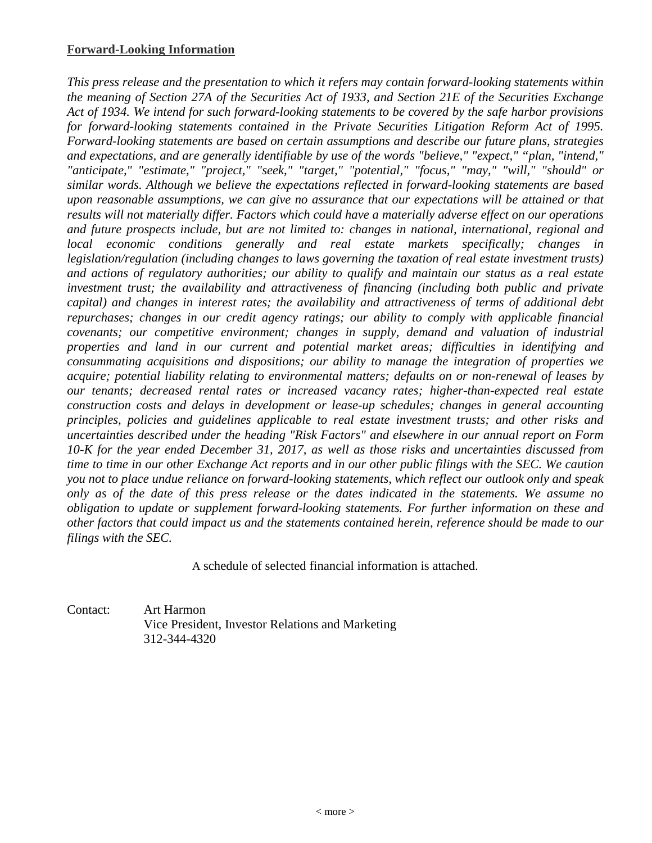*This press release and the presentation to which it refers may contain forward-looking statements within the meaning of Section 27A of the Securities Act of 1933, and Section 21E of the Securities Exchange Act of 1934. We intend for such forward-looking statements to be covered by the safe harbor provisions for forward-looking statements contained in the Private Securities Litigation Reform Act of 1995. Forward-looking statements are based on certain assumptions and describe our future plans, strategies and expectations, and are generally identifiable by use of the words "believe," "expect," "plan, "intend," "anticipate," "estimate," "project," "seek," "target," "potential," "focus," "may," "will," "should" or similar words. Although we believe the expectations reflected in forward-looking statements are based upon reasonable assumptions, we can give no assurance that our expectations will be attained or that results will not materially differ. Factors which could have a materially adverse effect on our operations and future prospects include, but are not limited to: changes in national, international, regional and local economic conditions generally and real estate markets specifically; changes in legislation/regulation (including changes to laws governing the taxation of real estate investment trusts) and actions of regulatory authorities; our ability to qualify and maintain our status as a real estate investment trust; the availability and attractiveness of financing (including both public and private capital) and changes in interest rates; the availability and attractiveness of terms of additional debt repurchases; changes in our credit agency ratings; our ability to comply with applicable financial covenants; our competitive environment; changes in supply, demand and valuation of industrial properties and land in our current and potential market areas; difficulties in identifying and consummating acquisitions and dispositions; our ability to manage the integration of properties we acquire; potential liability relating to environmental matters; defaults on or non-renewal of leases by our tenants; decreased rental rates or increased vacancy rates; higher-than-expected real estate construction costs and delays in development or lease-up schedules; changes in general accounting principles, policies and guidelines applicable to real estate investment trusts; and other risks and uncertainties described under the heading "Risk Factors" and elsewhere in our annual report on Form 10-K for the year ended December 31, 2017, as well as those risks and uncertainties discussed from time to time in our other Exchange Act reports and in our other public filings with the SEC. We caution you not to place undue reliance on forward-looking statements, which reflect our outlook only and speak only as of the date of this press release or the dates indicated in the statements. We assume no obligation to update or supplement forward-looking statements. For further information on these and other factors that could impact us and the statements contained herein, reference should be made to our filings with the SEC.*

A schedule of selected financial information is attached.

Contact: Art Harmon Vice President, Investor Relations and Marketing 312-344-4320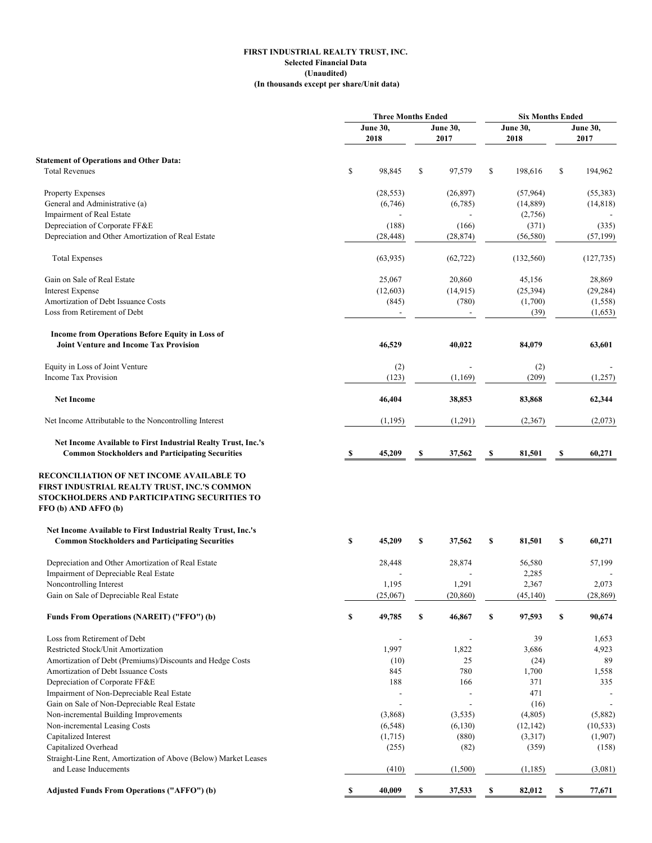#### **FIRST INDUSTRIAL REALTY TRUST, INC. Selected Financial Data (Unaudited) (In thousands except per share/Unit data)**

|                                                                                                  |    | <b>Three Months Ended</b> |    | <b>Six Months Ended</b> |    |            |    |                 |
|--------------------------------------------------------------------------------------------------|----|---------------------------|----|-------------------------|----|------------|----|-----------------|
|                                                                                                  |    | <b>June 30,</b>           |    | <b>June 30,</b>         |    | June 30,   |    | <b>June 30,</b> |
|                                                                                                  |    | 2018                      |    | 2017                    |    | 2018       |    | 2017            |
|                                                                                                  |    |                           |    |                         |    |            |    |                 |
| <b>Statement of Operations and Other Data:</b><br><b>Total Revenues</b>                          | \$ | 98,845                    | \$ | 97,579                  | \$ | 198,616    | \$ | 194,962         |
|                                                                                                  |    |                           |    |                         |    |            |    |                 |
| Property Expenses                                                                                |    | (28, 553)                 |    | (26, 897)               |    | (57,964)   |    | (55, 383)       |
| General and Administrative (a)                                                                   |    | (6,746)                   |    | (6,785)                 |    | (14,889)   |    | (14, 818)       |
| Impairment of Real Estate                                                                        |    |                           |    |                         |    | (2,756)    |    |                 |
| Depreciation of Corporate FF&E                                                                   |    | (188)                     |    | (166)                   |    | (371)      |    | (335)           |
| Depreciation and Other Amortization of Real Estate                                               |    | (28, 448)                 |    | (28, 874)               |    | (56, 580)  |    | (57, 199)       |
| <b>Total Expenses</b>                                                                            |    | (63,935)                  |    | (62, 722)               |    | (132, 560) |    | (127, 735)      |
| Gain on Sale of Real Estate                                                                      |    | 25,067                    |    | 20,860                  |    | 45,156     |    | 28,869          |
| <b>Interest Expense</b>                                                                          |    | (12,603)                  |    | (14, 915)               |    | (25, 394)  |    | (29, 284)       |
| Amortization of Debt Issuance Costs                                                              |    | (845)                     |    | (780)                   |    | (1,700)    |    | (1, 558)        |
| Loss from Retirement of Debt                                                                     |    |                           |    |                         |    | (39)       |    | (1,653)         |
| Income from Operations Before Equity in Loss of<br><b>Joint Venture and Income Tax Provision</b> |    | 46,529                    |    | 40,022                  |    | 84,079     |    | 63,601          |
|                                                                                                  |    |                           |    |                         |    |            |    |                 |
| Equity in Loss of Joint Venture                                                                  |    | (2)                       |    |                         |    | (2)        |    |                 |
| Income Tax Provision                                                                             |    | (123)                     |    | (1,169)                 |    | (209)      |    | (1,257)         |
| <b>Net Income</b>                                                                                |    | 46,404                    |    | 38,853                  |    | 83,868     |    | 62,344          |
| Net Income Attributable to the Noncontrolling Interest                                           |    | (1,195)                   |    | (1,291)                 |    | (2,367)    |    | (2,073)         |
| Net Income Available to First Industrial Realty Trust, Inc.'s                                    |    |                           |    |                         |    |            |    |                 |
| <b>Common Stockholders and Participating Securities</b>                                          | S, | 45,209                    | S  | 37,562                  | S  | 81,501     | S  | 60,271          |
|                                                                                                  |    |                           |    |                         |    |            |    |                 |
| <b>RECONCILIATION OF NET INCOME AVAILABLE TO</b><br>FIRST INDUSTRIAL REALTY TRUST, INC.'S COMMON |    |                           |    |                         |    |            |    |                 |
| STOCKHOLDERS AND PARTICIPATING SECURITIES TO<br>FFO (b) AND AFFO (b)                             |    |                           |    |                         |    |            |    |                 |
| Net Income Available to First Industrial Realty Trust, Inc.'s                                    |    |                           |    |                         |    |            |    |                 |
| <b>Common Stockholders and Participating Securities</b>                                          | S  | 45,209                    | \$ | 37,562                  | \$ | 81,501     | \$ | 60,271          |
| Depreciation and Other Amortization of Real Estate                                               |    | 28,448                    |    | 28,874                  |    | 56,580     |    | 57,199          |
| Impairment of Depreciable Real Estate                                                            |    |                           |    |                         |    | 2,285      |    |                 |
| Noncontrolling Interest                                                                          |    | 1,195                     |    | 1,291                   |    | 2,367      |    | 2,073           |
| Gain on Sale of Depreciable Real Estate                                                          |    | (25,067)                  |    | (20, 860)               |    | (45, 140)  |    | (28, 869)       |
| Funds From Operations (NAREIT) ("FFO") (b)                                                       | S  | 49,785                    | \$ | 46,867                  | \$ | 97,593     | \$ | 90,674          |
| Loss from Retirement of Debt                                                                     |    |                           |    |                         |    | 39         |    | 1,653           |
| Restricted Stock/Unit Amortization                                                               |    | 1,997                     |    | 1,822                   |    | 3,686      |    | 4,923           |
| Amortization of Debt (Premiums)/Discounts and Hedge Costs                                        |    | (10)                      |    | 25                      |    | (24)       |    | 89              |
| Amortization of Debt Issuance Costs                                                              |    | 845                       |    | 780                     |    | 1,700      |    | 1,558           |
| Depreciation of Corporate FF&E                                                                   |    | 188                       |    | 166                     |    | 371        |    | 335             |
| Impairment of Non-Depreciable Real Estate                                                        |    |                           |    |                         |    | 471        |    |                 |
| Gain on Sale of Non-Depreciable Real Estate                                                      |    | $\overline{a}$            |    |                         |    | (16)       |    |                 |
| Non-incremental Building Improvements                                                            |    | (3,868)                   |    | (3, 535)                |    | (4,805)    |    | (5,882)         |
| Non-incremental Leasing Costs                                                                    |    | (6, 548)                  |    | (6,130)                 |    | (12, 142)  |    | (10, 533)       |
| Capitalized Interest                                                                             |    | (1,715)                   |    | (880)                   |    | (3,317)    |    | (1,907)         |
| Capitalized Overhead                                                                             |    | (255)                     |    | (82)                    |    | (359)      |    | (158)           |
| Straight-Line Rent, Amortization of Above (Below) Market Leases                                  |    |                           |    |                         |    |            |    |                 |
| and Lease Inducements                                                                            |    | (410)                     |    | (1,500)                 |    | (1, 185)   |    | (3,081)         |
| <b>Adjusted Funds From Operations ("AFFO") (b)</b>                                               | S  | 40,009                    | S  | 37,533                  | \$ | 82,012     | S  | 77,671          |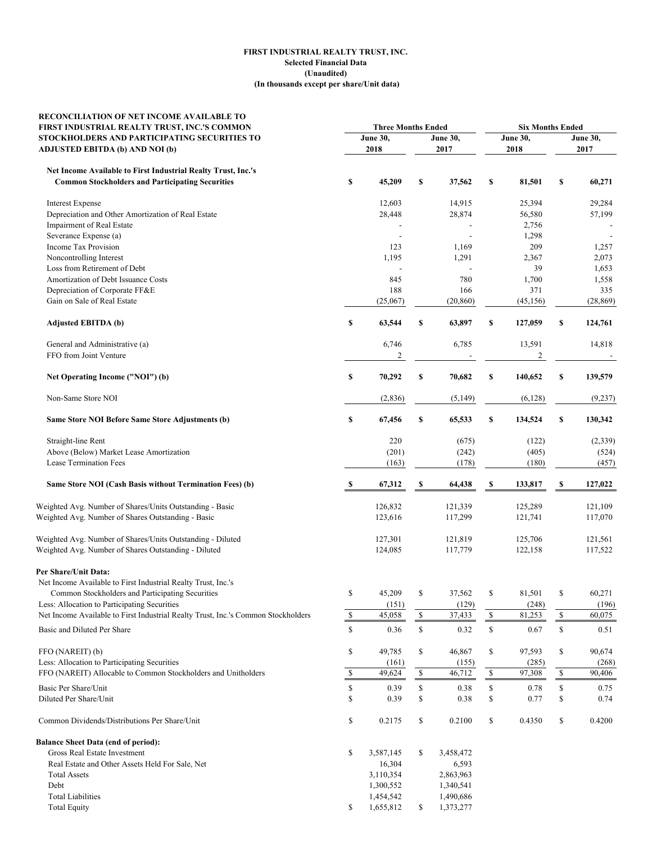#### **(In thousands except per share/Unit data) FIRST INDUSTRIAL REALTY TRUST, INC. Selected Financial Data (Unaudited)**

| RECONCILIATION OF NET INCOME AVAILABLE TO<br>FIRST INDUSTRIAL REALTY TRUST, INC.'S COMMON | <b>Three Months Ended</b> |           |             | <b>Six Months Ended</b> |              |                 |                                                                       |           |
|-------------------------------------------------------------------------------------------|---------------------------|-----------|-------------|-------------------------|--------------|-----------------|-----------------------------------------------------------------------|-----------|
| STOCKHOLDERS AND PARTICIPATING SECURITIES TO                                              | <b>June 30,</b>           |           |             | <b>June 30,</b>         |              | <b>June 30,</b> | June 30,                                                              |           |
| <b>ADJUSTED EBITDA (b) AND NOI (b)</b>                                                    |                           | 2018      |             | 2017                    |              | 2018            |                                                                       | 2017      |
| Net Income Available to First Industrial Realty Trust, Inc.'s                             |                           |           |             |                         |              |                 |                                                                       |           |
| <b>Common Stockholders and Participating Securities</b>                                   | \$                        | 45,209    | \$          | 37,562                  | \$           | 81,501          | \$                                                                    | 60,271    |
| <b>Interest Expense</b>                                                                   |                           | 12,603    |             | 14,915                  |              | 25,394          |                                                                       | 29,284    |
| Depreciation and Other Amortization of Real Estate                                        |                           | 28,448    |             | 28,874                  |              | 56,580          |                                                                       | 57,199    |
| Impairment of Real Estate                                                                 |                           |           |             |                         |              | 2,756           |                                                                       |           |
| Severance Expense (a)                                                                     |                           |           |             |                         |              | 1,298           |                                                                       |           |
| <b>Income Tax Provision</b>                                                               |                           | 123       |             | 1,169                   |              | 209             |                                                                       | 1,257     |
| Noncontrolling Interest                                                                   |                           | 1,195     |             | 1,291                   |              | 2,367           |                                                                       | 2,073     |
| Loss from Retirement of Debt                                                              |                           |           |             |                         |              | 39              |                                                                       | 1,653     |
| Amortization of Debt Issuance Costs                                                       |                           | 845       |             | 780                     |              | 1,700           |                                                                       | 1,558     |
| Depreciation of Corporate FF&E                                                            |                           | 188       |             | 166                     |              | 371             |                                                                       | 335       |
| Gain on Sale of Real Estate                                                               |                           | (25,067)  |             | (20, 860)               |              | (45, 156)       |                                                                       | (28, 869) |
| <b>Adjusted EBITDA (b)</b>                                                                | \$                        | 63,544    | \$          | 63,897                  | \$           | 127,059         | \$                                                                    | 124,761   |
| General and Administrative (a)                                                            |                           | 6,746     |             | 6,785                   |              | 13,591          |                                                                       | 14,818    |
| FFO from Joint Venture                                                                    |                           | 2         |             |                         |              | $\overline{c}$  |                                                                       |           |
| Net Operating Income ("NOI") (b)                                                          | \$                        | 70,292    | \$          | 70,682                  | \$           | 140,652         | \$                                                                    | 139,579   |
| Non-Same Store NOI                                                                        |                           | (2,836)   |             | (5,149)                 |              | (6,128)         |                                                                       | (9,237)   |
| Same Store NOI Before Same Store Adjustments (b)                                          | \$                        | 67,456    | \$          | 65,533                  | \$           | 134,524         | \$                                                                    | 130,342   |
| Straight-line Rent                                                                        |                           | 220       |             | (675)                   |              | (122)           |                                                                       | (2, 339)  |
| Above (Below) Market Lease Amortization                                                   |                           | (201)     |             | (242)                   |              | (405)           |                                                                       | (524)     |
| Lease Termination Fees                                                                    |                           | (163)     |             | (178)                   |              | (180)           |                                                                       | (457)     |
|                                                                                           |                           |           |             |                         |              |                 |                                                                       |           |
| Same Store NOI (Cash Basis without Termination Fees) (b)                                  | S                         | 67,312    | S           | 64,438                  | S            | 133,817         | \$                                                                    | 127,022   |
| Weighted Avg. Number of Shares/Units Outstanding - Basic                                  |                           | 126,832   |             | 121,339                 |              | 125,289         |                                                                       | 121,109   |
| Weighted Avg. Number of Shares Outstanding - Basic                                        |                           | 123,616   |             | 117,299                 |              | 121,741         |                                                                       | 117,070   |
| Weighted Avg. Number of Shares/Units Outstanding - Diluted                                |                           | 127,301   |             | 121,819                 |              | 125,706         |                                                                       | 121,561   |
| Weighted Avg. Number of Shares Outstanding - Diluted                                      |                           | 124,085   |             | 117,779                 |              | 122,158         |                                                                       | 117,522   |
| Per Share/Unit Data:                                                                      |                           |           |             |                         |              |                 |                                                                       |           |
| Net Income Available to First Industrial Realty Trust, Inc.'s                             |                           |           |             |                         |              |                 |                                                                       |           |
| Common Stockholders and Participating Securities                                          | \$                        | 45,209    | \$          | 37,562                  | \$           | 81,501          | \$                                                                    | 60,271    |
| Less: Allocation to Participating Securities                                              |                           | (151)     |             | (129)                   |              | (248)           |                                                                       | (196)     |
| Net Income Available to First Industrial Realty Trust, Inc.'s Common Stockholders         | ${\mathbb S}$             | 45,058    | $\sqrt{\ }$ | 37,433                  | $\mathbb{S}$ | 81,253          | $\mathbb{S}$                                                          | 60,075    |
| Basic and Diluted Per Share                                                               | \$                        | 0.36      | \$          | 0.32                    | \$           | 0.67            | \$                                                                    | 0.51      |
| FFO (NAREIT) (b)                                                                          | \$                        | 49,785    | \$          | 46,867                  | \$           | 97,593          | \$                                                                    | 90,674    |
| Less: Allocation to Participating Securities                                              |                           | (161)     |             | (155)                   |              | (285)           |                                                                       | (268)     |
| FFO (NAREIT) Allocable to Common Stockholders and Unitholders                             | \$                        | 49,624    | \$          | 46,712                  | $\mathbb{S}$ | 97,308          | \$                                                                    | 90,406    |
| Basic Per Share/Unit                                                                      | \$                        | 0.39      | \$          | 0.38                    | \$           | 0.78            | $\mathbb{S}% _{t}\left( t\right) \equiv\mathbb{S}_{t}\left( t\right)$ | 0.75      |
| Diluted Per Share/Unit                                                                    | \$                        | 0.39      | \$          | 0.38                    | \$           | 0.77            | \$                                                                    | 0.74      |
| Common Dividends/Distributions Per Share/Unit                                             | \$                        | 0.2175    | \$          | 0.2100                  | \$           | 0.4350          | \$                                                                    | 0.4200    |
| <b>Balance Sheet Data (end of period):</b>                                                |                           |           |             |                         |              |                 |                                                                       |           |
| Gross Real Estate Investment                                                              | \$                        | 3,587,145 | \$          | 3,458,472               |              |                 |                                                                       |           |
| Real Estate and Other Assets Held For Sale, Net                                           |                           | 16,304    |             | 6,593                   |              |                 |                                                                       |           |
| <b>Total Assets</b>                                                                       |                           | 3,110,354 |             | 2,863,963               |              |                 |                                                                       |           |
| Debt                                                                                      |                           | 1,300,552 |             | 1,340,541               |              |                 |                                                                       |           |
| <b>Total Liabilities</b>                                                                  |                           | 1,454,542 |             | 1,490,686               |              |                 |                                                                       |           |
| <b>Total Equity</b>                                                                       | \$                        | 1,655,812 | \$          | 1,373,277               |              |                 |                                                                       |           |